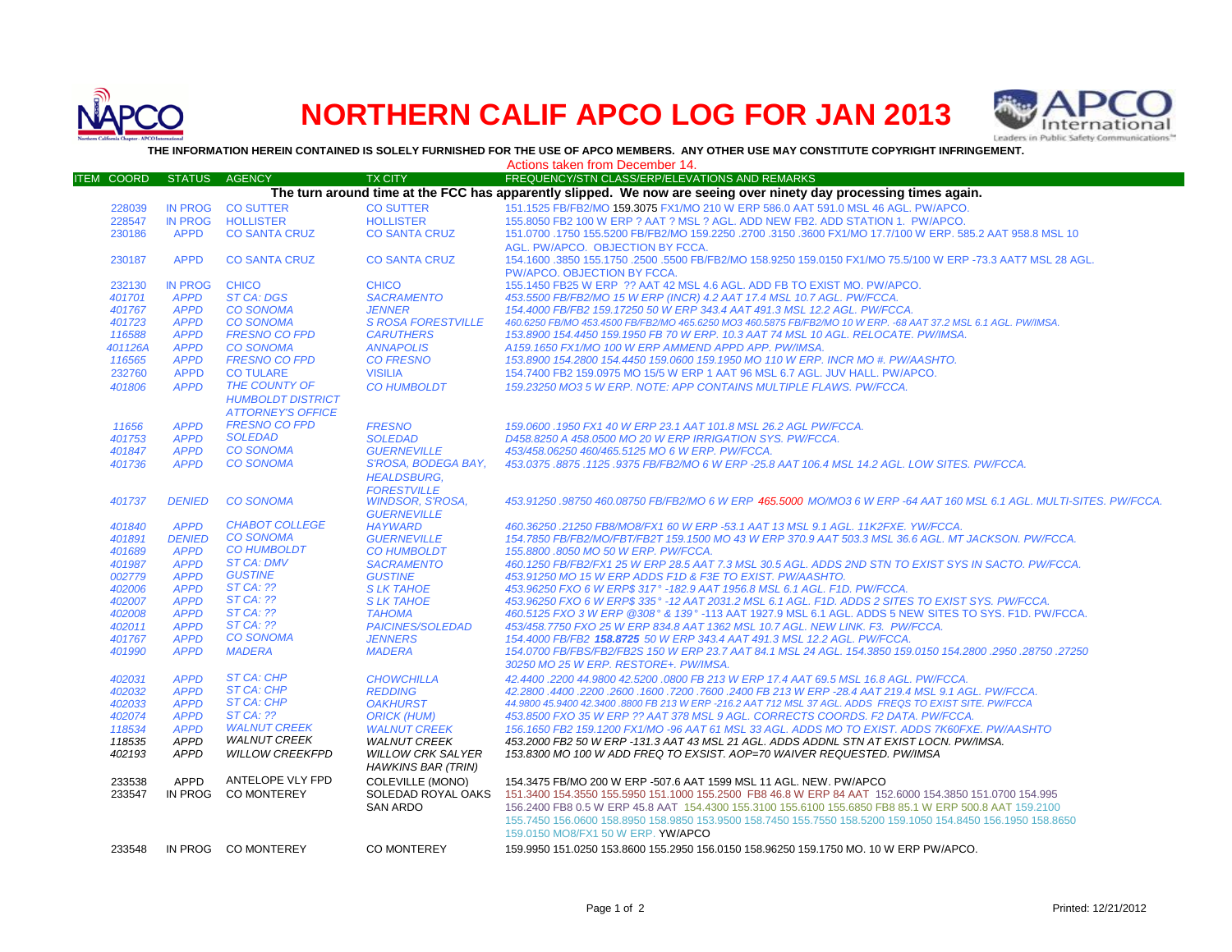

## **NORTHERN CALIF APCO LOG FOR JAN 2013**



**THE INFORMATION HEREIN CONTAINED IS SOLELY FURNISHED FOR THE USE OF APCO MEMBERS. ANY OTHER USE MAY CONSTITUTE COPYRIGHT INFRINGEMENT.**

|                   |                            |                              |                                     | Actions taken from December 14.                                                                                                                                                                           |
|-------------------|----------------------------|------------------------------|-------------------------------------|-----------------------------------------------------------------------------------------------------------------------------------------------------------------------------------------------------------|
| <b>ITEM COORD</b> | <b>STATUS</b>              | <b>AGENCY</b>                | <b>TX CITY</b>                      | FREQUENCY/STN CLASS/ERP/ELEVATIONS AND REMARKS                                                                                                                                                            |
|                   |                            |                              |                                     | The turn around time at the FCC has apparently slipped. We now are seeing over ninety day processing times again.                                                                                         |
| 228039            | <b>IN PROG</b>             | <b>CO SUTTER</b>             | <b>CO SUTTER</b>                    | 151.1525 FB/FB2/MO 159.3075 FX1/MO 210 W ERP 586.0 AAT 591.0 MSL 46 AGL. PW/APCO.                                                                                                                         |
| 228547            | <b>IN PROG</b>             | <b>HOLLISTER</b>             | <b>HOLLISTER</b>                    | 155,8050 FB2 100 W ERP ? AAT ? MSL ? AGL, ADD NEW FB2, ADD STATION 1, PW/APCO,                                                                                                                            |
| 230186            | <b>APPD</b>                | <b>CO SANTA CRUZ</b>         | <b>CO SANTA CRUZ</b>                | 151.0700 .1750 155.5200 FB/FB2/MO 159.2250 .2700 .3150 .3600 FX1/MO 17.7/100 W ERP. 585.2 AAT 958.8 MSL 10                                                                                                |
|                   |                            |                              |                                     | AGL. PW/APCO. OBJECTION BY FCCA.                                                                                                                                                                          |
| 230187            | <b>APPD</b>                | <b>CO SANTA CRUZ</b>         | <b>CO SANTA CRUZ</b>                | 154.1600 .3850 155.1750 .2500 .5500 FB/FB2/MO 158.9250 159.0150 FX1/MO 75.5/100 W ERP -73.3 AAT7 MSL 28 AGL.                                                                                              |
|                   |                            |                              |                                     | PW/APCO, OBJECTION BY FCCA.                                                                                                                                                                               |
| 232130            | <b>IN PROG</b>             | <b>CHICO</b>                 | <b>CHICO</b>                        | 155.1450 FB25 W ERP ?? AAT 42 MSL 4.6 AGL. ADD FB TO EXIST MO. PW/APCO.                                                                                                                                   |
| 401701            | <b>APPD</b>                | <b>ST CA: DGS</b>            | <b>SACRAMENTO</b>                   | 453.5500 FB/FB2/MO 15 W ERP (INCR) 4.2 AAT 17.4 MSL 10.7 AGL. PW/FCCA.                                                                                                                                    |
| 401767            | <b>APPD</b>                | <b>CO SONOMA</b>             | <b>JENNER</b>                       | 154.4000 FB/FB2 159.17250 50 W ERP 343.4 AAT 491.3 MSL 12.2 AGL. PW/FCCA.                                                                                                                                 |
| 401723            | <b>APPD</b>                | <b>CO SONOMA</b>             | <b>S ROSA FORESTVILLE</b>           | 460.6250 FB/MO 453.4500 FB/FB2/MO 465.6250 MO3 460.5875 FB/FB2/MO 10 W ERP. -68 AAT 37.2 MSL 6.1 AGL. PW/IMSA.                                                                                            |
| 116588            | <b>APPD</b>                | <b>FRESNO CO FPD</b>         | <b>CARUTHERS</b>                    | 153.8900 154.4450 159.1950 FB 70 W ERP. 10.3 AAT 74 MSL 10 AGL. RELOCATE. PW/IMSA.                                                                                                                        |
| 401126A           | <b>APPD</b>                | <b>CO SONOMA</b>             | <b>ANNAPOLIS</b>                    | A159.1650 FX1/MO 100 W ERP AMMEND APPD APP. PW/IMSA.                                                                                                                                                      |
| 116565            | <b>APPD</b>                | <b>FRESNO CO FPD</b>         | <b>CO FRESNO</b>                    | 153.8900 154.2800 154.4450 159.0600 159.1950 MO 110 W ERP. INCR MO #. PW/AASHTO.                                                                                                                          |
| 232760            | <b>APPD</b>                | <b>CO TULARE</b>             | <b>VISILIA</b>                      | 154.7400 FB2 159.0975 MO 15/5 W ERP 1 AAT 96 MSL 6.7 AGL. JUV HALL. PW/APCO.                                                                                                                              |
| 401806            | <b>APPD</b>                | THE COUNTY OF                | <b>CO HUMBOLDT</b>                  | 159.23250 MO3 5 W ERP. NOTE: APP CONTAINS MULTIPLE FLAWS. PW/FCCA.                                                                                                                                        |
|                   |                            | <b>HUMBOLDT DISTRICT</b>     |                                     |                                                                                                                                                                                                           |
|                   |                            | <b>ATTORNEY'S OFFICE</b>     |                                     |                                                                                                                                                                                                           |
| 11656             | <b>APPD</b>                | <b>FRESNO CO FPD</b>         | <b>FRESNO</b>                       | 159.0600 .1950 FX1 40 W ERP 23.1 AAT 101.8 MSL 26.2 AGL PW/FCCA.                                                                                                                                          |
| 401753            | <b>APPD</b>                | <b>SOLEDAD</b>               | <b>SOLEDAD</b>                      | D458.8250 A 458.0500 MO 20 W ERP IRRIGATION SYS. PW/FCCA.                                                                                                                                                 |
| 401847            | <b>APPD</b>                | <b>CO SONOMA</b>             | <b>GUERNEVILLE</b>                  | 453/458.06250 460/465.5125 MO 6 W ERP. PW/FCCA.                                                                                                                                                           |
| 401736            | <b>APPD</b>                | <b>CO SONOMA</b>             | S'ROSA, BODEGA BAY,                 | 453.0375.8875.1125.9375 FB/FB2/MO 6 W ERP -25.8 AAT 106.4 MSL 14.2 AGL. LOW SITES. PW/FCCA.                                                                                                               |
|                   |                            |                              | <b>HEALDSBURG.</b>                  |                                                                                                                                                                                                           |
|                   |                            |                              | <b>FORESTVILLE</b>                  |                                                                                                                                                                                                           |
| 401737            | <b>DENIED</b>              | <b>CO SONOMA</b>             | <b>WINDSOR, S'ROSA,</b>             | 453.91250 .98750 460.08750 FB/FB2/MO 6 W ERP 465.5000 MO/MO3 6 W ERP -64 AAT 160 MSL 6.1 AGL. MULTI-SITES. PW/FCCA.                                                                                       |
|                   |                            |                              | <b>GUERNEVILLE</b>                  |                                                                                                                                                                                                           |
| 401840            | <b>APPD</b>                | <b>CHABOT COLLEGE</b>        | <b>HAYWARD</b>                      | 460.36250.21250 FB8/MO8/FX1 60 W ERP -53.1 AAT 13 MSL 9.1 AGL. 11K2FXE. YW/FCCA.                                                                                                                          |
| 401891            | <b>DENIED</b>              | <b>CO SONOMA</b>             | <b>GUERNEVILLE</b>                  | 154.7850 FB/FB2/MO/FBT/FB2T 159.1500 MO 43 W ERP 370.9 AAT 503.3 MSL 36.6 AGL, MT JACKSON, PW/FCCA,                                                                                                       |
| 401689            | <b>APPD</b>                | <b>CO HUMBOLDT</b>           | <b>CO HUMBOLDT</b>                  | 155.8800.8050 MO 50 W ERP. PW/FCCA.                                                                                                                                                                       |
| 401987            | <b>APPD</b>                | <b>ST CA: DMV</b>            | <b>SACRAMENTO</b>                   | 460.1250 FB/FB2/FX1 25 W ERP 28.5 AAT 7.3 MSL 30.5 AGL. ADDS 2ND STN TO EXIST SYS IN SACTO. PW/FCCA.                                                                                                      |
| 002779            | <b>APPD</b>                | <b>GUSTINE</b><br>$STCA:$ ?? | <b>GUSTINE</b>                      | 453.91250 MO 15 W ERP ADDS F1D & F3E TO EXIST. PW/AASHTO.                                                                                                                                                 |
| 402006            | <b>APPD</b>                | <b>ST CA: ??</b>             | <b>SLK TAHOE</b>                    | 453.96250 FXO 6 W ERP\$ 317° -182.9 AAT 1956.8 MSL 6.1 AGL. F1D. PW/FCCA.                                                                                                                                 |
| 402007            | <b>APPD</b><br><b>APPD</b> | $STCA:$ ??                   | <b>SLK TAHOE</b><br><b>TAHOMA</b>   | 453.96250 FXO 6 W ERP\$ 335° -12 AAT 2031.2 MSL 6.1 AGL. F1D. ADDS 2 SITES TO EXIST SYS. PW/FCCA.<br>460.5125 FXO 3 W ERP @308° & 139°-113 AAT 1927.9 MSL 6.1 AGL. ADDS 5 NEW SITES TO SYS, F1D, PW/FCCA, |
| 402008            | <b>APPD</b>                | <b>ST CA: ??</b>             |                                     |                                                                                                                                                                                                           |
| 402011            | <b>APPD</b>                | <b>CO SONOMA</b>             | PAICINES/SOLEDAD                    | 453/458.7750 FXO 25 W ERP 834.8 AAT 1362 MSL 10.7 AGL. NEW LINK. F3. PW/FCCA.                                                                                                                             |
| 401767<br>401990  | <b>APPD</b>                | <b>MADERA</b>                | <b>JENNERS</b><br><b>MADERA</b>     | 154.4000 FB/FB2 158.8725 50 W ERP 343.4 AAT 491.3 MSL 12.2 AGL. PW/FCCA.<br>154.0700 28750 .29750 .29750 .29750 .29750 .54.1 MSL 24 AGL. 154.3850 159.0150 154.2800 .2950 .28750 .27250                   |
|                   |                            |                              |                                     | 30250 MO 25 W ERP. RESTORE+. PW/IMSA.                                                                                                                                                                     |
|                   | <b>APPD</b>                | ST CA: CHP                   |                                     |                                                                                                                                                                                                           |
| 402031<br>402032  | <b>APPD</b>                | <b>ST CA: CHP</b>            | <b>CHOWCHILLA</b><br><b>REDDING</b> | 42.4400.2200 44.9800 42.5200.0800 FB 213 W ERP 17.4 AAT 69.5 MSL 16.8 AGL. PW/FCCA.<br>42.2800 .4400 .2200 .2600 .1600 .7200 .7600 .2400 FB 213 W ERP -28.4 AAT 219.4 MSL 9.1 AGL. PW/FCCA.               |
| 402033            | <b>APPD</b>                | <b>ST CA: CHP</b>            | <b>OAKHURST</b>                     | 44.9800 45.9400 42.3400 .8800 FB 213 W ERP -216.2 AAT 712 MSL 37 AGL. ADDS FREQS TO EXIST SITE. PW/FCCA                                                                                                   |
| 402074            | <b>APPD</b>                | <b>ST CA: ??</b>             | <b>ORICK (HUM)</b>                  | 453.8500 FXO 35 W ERP ?? AAT 378 MSL 9 AGL. CORRECTS COORDS. F2 DATA. PW/FCCA.                                                                                                                            |
| 118534            | <b>APPD</b>                | <b>WALNUT CREEK</b>          | <b>WALNUT CREEK</b>                 | 156.1650 FB2 159.1200 FX1/MO -96 AAT 61 MSL 33 AGL. ADDS MO TO EXIST. ADDS 7K60FXE. PW/AASHTO                                                                                                             |
| 118535            | <b>APPD</b>                | <b>WALNUT CREEK</b>          | <b>WALNUT CREEK</b>                 | 453.2000 FB2 50 W ERP -131.3 AAT 43 MSL 21 AGL. ADDS ADDNL STN AT EXIST LOCN. PW/IMSA.                                                                                                                    |
| 402193            | <b>APPD</b>                | <b>WILLOW CREEKFPD</b>       | <b>WILLOW CRK SALYER</b>            | 153.8300 MO 100 W ADD FREQ TO EXSIST. AOP=70 WAIVER REQUESTED. PW/IMSA                                                                                                                                    |
|                   |                            |                              | HAWKINS BAR (TRIN)                  |                                                                                                                                                                                                           |
| 233538            | <b>APPD</b>                | ANTELOPE VLY FPD             | <b>COLEVILLE (MONO)</b>             | 154.3475 FB/MO 200 W ERP -507.6 AAT 1599 MSL 11 AGL. NEW. PW/APCO                                                                                                                                         |
| 233547            | IN PROG                    | <b>CO MONTEREY</b>           | SOLEDAD ROYAL OAKS                  | 151.3400 154.3550 155.5950 151.1000 155.2500 FB8 46.8 W ERP 84 AAT 152.6000 154.3850 151.0700 154.995                                                                                                     |
|                   |                            |                              | <b>SAN ARDO</b>                     | 156.2400 FB8 0.5 W ERP 45.8 AAT 154.4300 155.3100 155.6100 155.6850 FB8 85.1 W ERP 500.8 AAT 159.2100                                                                                                     |
|                   |                            |                              |                                     | 155.7450 156.0600 158.8950 158.9850 153.9500 158.7450 155.7550 158.5200 159.1050 154.8450 156.1950 158.8650                                                                                               |
|                   |                            |                              |                                     | 159.0150 MO8/FX1 50 W ERP. YW/APCO                                                                                                                                                                        |
|                   |                            |                              |                                     |                                                                                                                                                                                                           |
| 233548            |                            | IN PROG CO MONTEREY          | CO MONTEREY                         | 159,9950 151,0250 153,8600 155,2950 156,0150 158,96250 159,1750 MO, 10 W ERP PW/APCO,                                                                                                                     |